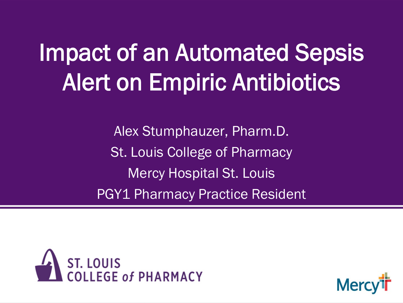# Impact of an Automated Sepsis Alert on Empiric Antibiotics

Alex Stumphauzer, Pharm.D. St. Louis College of Pharmacy Mercy Hospital St. Louis PGY1 Pharmacy Practice Resident



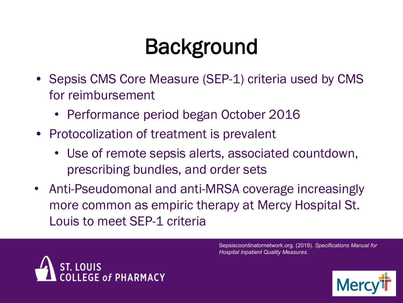## **Background**

- Sepsis CMS Core Measure (SEP-1) criteria used by CMS for reimbursement
	- Performance period began October 2016
- Protocolization of treatment is prevalent
	- Use of remote sepsis alerts, associated countdown, prescribing bundles, and order sets
- Anti-Pseudomonal and anti-MRSA coverage increasingly more common as empiric therapy at Mercy Hospital St. Louis to meet SEP-1 criteria



Sepsiscoordinatornetwork.org. (2019). *Specifications Manual for Hospital Inpatient Quality Measures*.

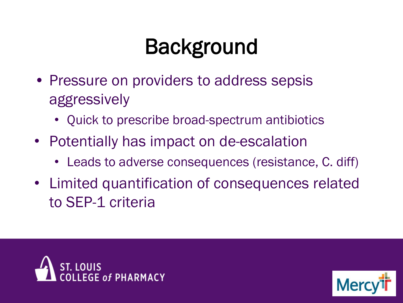## Background

- Pressure on providers to address sepsis aggressively
	- Quick to prescribe broad-spectrum antibiotics
- Potentially has impact on de-escalation
	- Leads to adverse consequences (resistance, C. diff)
- Limited quantification of consequences related to SEP-1 criteria



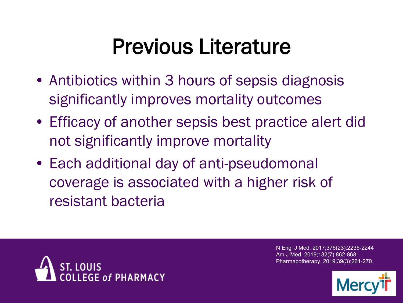### Previous Literature

- Antibiotics within 3 hours of sepsis diagnosis significantly improves mortality outcomes
- Efficacy of another sepsis best practice alert did not significantly improve mortality
- Each additional day of anti-pseudomonal coverage is associated with a higher risk of resistant bacteria



N Engl J Med. 2017;376(23):2235-2244 Am J Med. 2019;132(7):862-868. Pharmacotherapy. 2019;39(3):261-270.

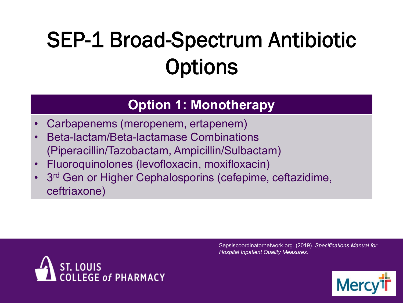## SEP-1 Broad-Spectrum Antibiotic **Options**

#### **Option 1: Monotherapy**

- Carbapenems (meropenem, ertapenem)
- Beta-lactam/Beta-lactamase Combinations (Piperacillin/Tazobactam, Ampicillin/Sulbactam)
- Fluoroquinolones (levofloxacin, moxifloxacin)
- 3<sup>rd</sup> Gen or Higher Cephalosporins (cefepime, ceftazidime, ceftriaxone)



Sepsiscoordinatornetwork.org. (2019). *Specifications Manual for Hospital Inpatient Quality Measures*.

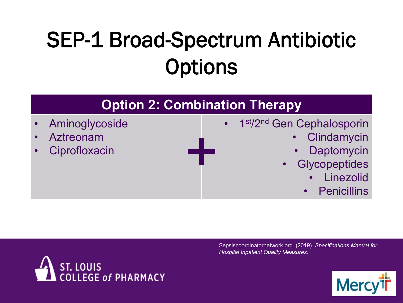## SEP-1 Broad-Spectrum Antibiotic **Options**





Sepsiscoordinatornetwork.org. (2019). *Specifications Manual for Hospital Inpatient Quality Measures*.

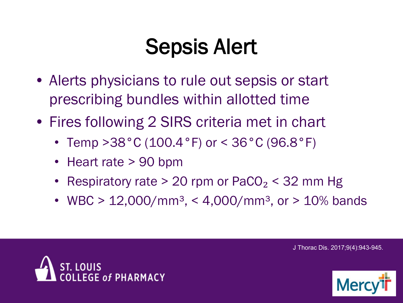### Sepsis Alert

- Alerts physicians to rule out sepsis or start prescribing bundles within allotted time
- Fires following 2 SIRS criteria met in chart
	- Temp > 38 ° C (100.4 ° F) or < 36 ° C (96.8 ° F)
	- Heart rate > 90 bpm
	- Respiratory rate  $> 20$  rpm or PaCO<sub>2</sub>  $<$  32 mm Hg
	- WBC >  $12,000/mm^3$ , <  $4,000/mm^3$ , or >  $10\%$  bands





J Thorac Dis. 2017;9(4):943-945.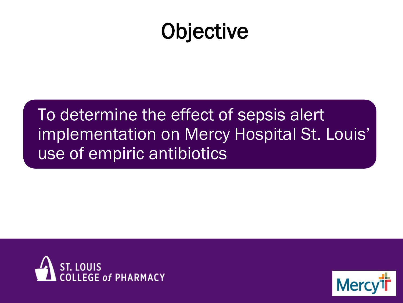#### **Objective**

#### To determine the effect of sepsis alert implementation on Mercy Hospital St. Louis' use of empiric antibiotics



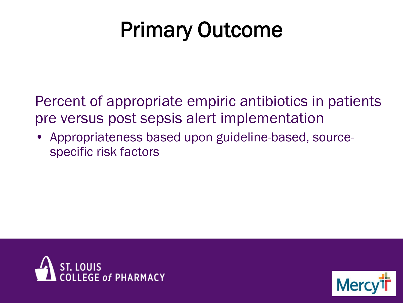## Primary Outcome

Percent of appropriate empiric antibiotics in patients pre versus post sepsis alert implementation

• Appropriateness based upon guideline-based, sourcespecific risk factors



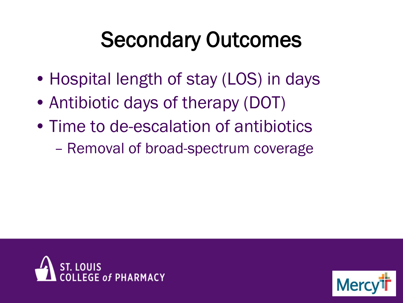## Secondary Outcomes

- Hospital length of stay (LOS) in days
- Antibiotic days of therapy (DOT)
- Time to de-escalation of antibiotics
	- Removal of broad-spectrum coverage



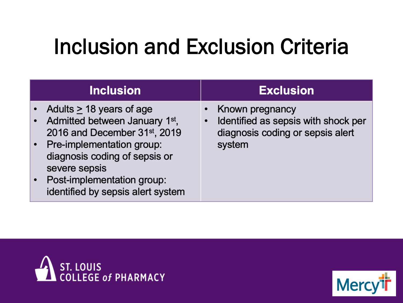### Inclusion and Exclusion Criteria

| <b>Inclusion</b>                                                                                                                                                                                                                                              | <b>Exclusion</b>                                                                                     |
|---------------------------------------------------------------------------------------------------------------------------------------------------------------------------------------------------------------------------------------------------------------|------------------------------------------------------------------------------------------------------|
| Adults $\geq$ 18 years of age<br>Admitted between January 1st,<br>2016 and December 31st, 2019<br>Pre-implementation group:<br>$\bullet$<br>diagnosis coding of sepsis or<br>severe sepsis<br>Post-implementation group:<br>identified by sepsis alert system | Known pregnancy<br>Identified as sepsis with shock per<br>diagnosis coding or sepsis alert<br>system |



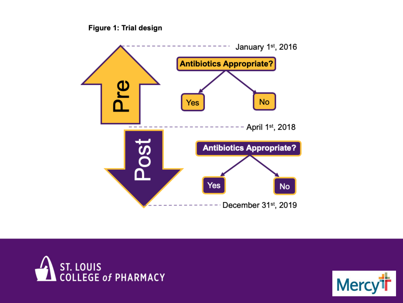Figure 1: Trial design





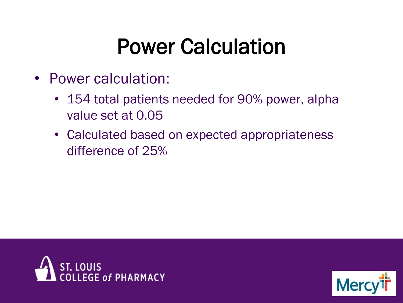## Power Calculation

- Power calculation:
	- 154 total patients needed for 90% power, alpha value set at 0.05
	- Calculated based on expected appropriateness difference of 25%



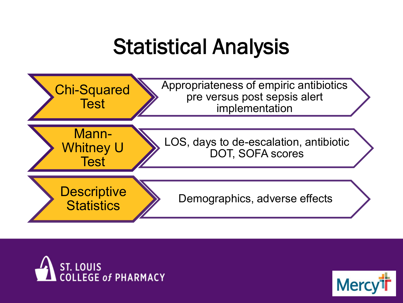#### Statistical Analysis





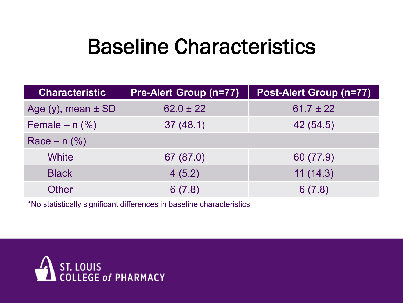#### Baseline Characteristics

| <b>Characteristic</b>     | <b>Pre-Alert Group (n=77)</b> | <b>Post-Alert Group (n=77)</b> |
|---------------------------|-------------------------------|--------------------------------|
| Age $(y)$ , mean $\pm$ SD | $62.0 \pm 22$                 | $61.7 \pm 22$                  |
| Female $- n$ $%$          | 37(48.1)                      | 42 (54.5)                      |
| $Race - n$ (%)            |                               |                                |
| White                     | 67 (87.0)                     | 60 (77.9)                      |
| <b>Black</b>              | 4(5.2)                        | 11(14.3)                       |
| Other                     | 6(7.8)                        | 6(7.8)                         |

\*No statistically significant differences in baseline characteristics

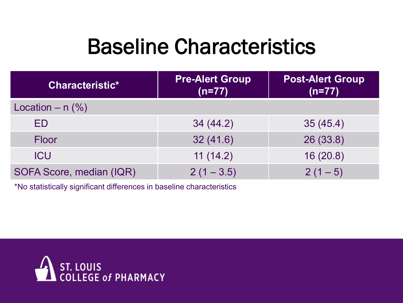#### Baseline Characteristics

| Characteristic*          | <b>Pre-Alert Group</b><br>$(n=77)$ | <b>Post-Alert Group</b><br>$(n=77)$ |
|--------------------------|------------------------------------|-------------------------------------|
| Location $-$ n $(\% )$   |                                    |                                     |
| ED                       | 34(44.2)                           | 35(45.4)                            |
| <b>Floor</b>             | 32(41.6)                           | 26(33.8)                            |
| <b>ICU</b>               | 11(14.2)                           | 16(20.8)                            |
| SOFA Score, median (IQR) | $2(1 - 3.5)$                       | $2(1-5)$                            |

\*No statistically significant differences in baseline characteristics

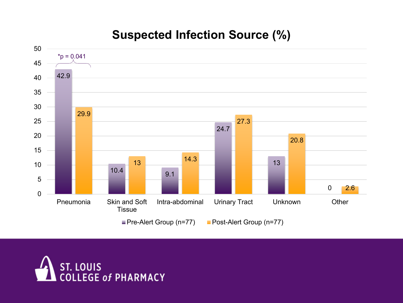#### **Suspected Infection Source (%)**



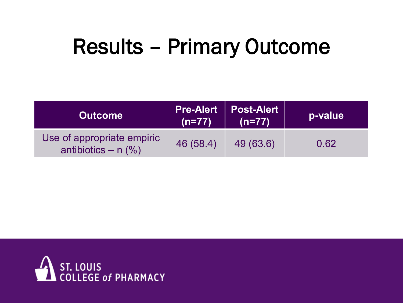#### Results – Primary Outcome

| <b>Outcome</b>                                      | $(n=77)$  | <b>Pre-Alert   Post-Alert  </b><br>$(n=77)$ | p-value |
|-----------------------------------------------------|-----------|---------------------------------------------|---------|
| Use of appropriate empiric<br>antibiotics – $n$ (%) | 46 (58.4) | 49 (63.6)                                   | 0.62    |

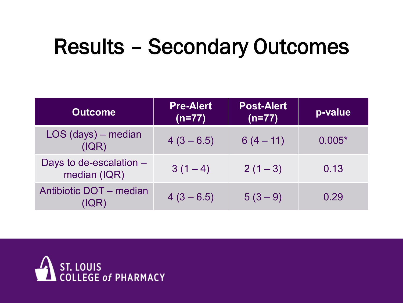#### Results – Secondary Outcomes

| <b>Outcome</b>                          | <b>Pre-Alert</b><br>$(n=77)$ | <b>Post-Alert</b><br>$(n=77)$ | p-value  |
|-----------------------------------------|------------------------------|-------------------------------|----------|
| LOS (days) – median<br>(IQR)            | $4(3-6.5)$                   | $6(4-11)$                     | $0.005*$ |
| Days to de-escalation -<br>median (IQR) | $3(1-4)$                     | $2(1-3)$                      | 0.13     |
| Antibiotic DOT – median                 | $4(3-6.5)$                   | $5(3-9)$                      | 0.29     |

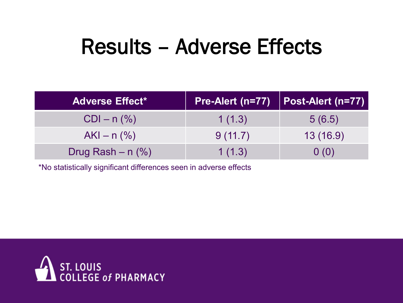#### Results – Adverse Effects

| <b>Adverse Effect*</b> | Pre-Alert (n=77) | Post-Alert (n=77) |
|------------------------|------------------|-------------------|
| $CDI - n$ (%)          | 1(1.3)           | 5(6.5)            |
| $AKI - n$ (%)          | 9(11.7)          | 13 (16.9)         |
| Drug Rash $-$ n $(\%)$ | 1(1.3)           | 0(0)              |

\*No statistically significant differences seen in adverse effects

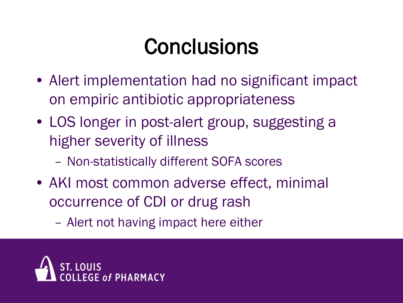### **Conclusions**

- Alert implementation had no significant impact on empiric antibiotic appropriateness
- LOS longer in post-alert group, suggesting a higher severity of illness
	- Non-statistically different SOFA scores
- AKI most common adverse effect, minimal occurrence of CDI or drug rash
	- Alert not having impact here either

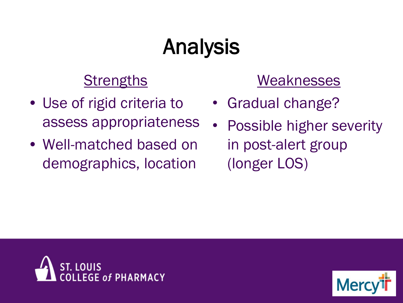## Analysis

#### **Strengths**

- Use of rigid criteria to assess appropriateness
- Well-matched based on demographics, location

#### **Weaknesses**

- Gradual change?
- Possible higher severity in post-alert group (longer LOS)



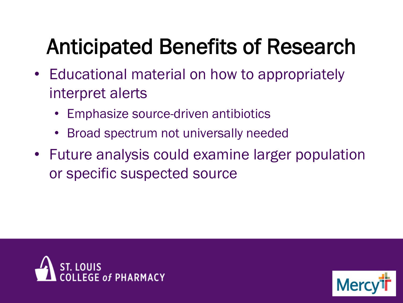## Anticipated Benefits of Research

- Educational material on how to appropriately interpret alerts
	- Emphasize source-driven antibiotics
	- Broad spectrum not universally needed
- Future analysis could examine larger population or specific suspected source